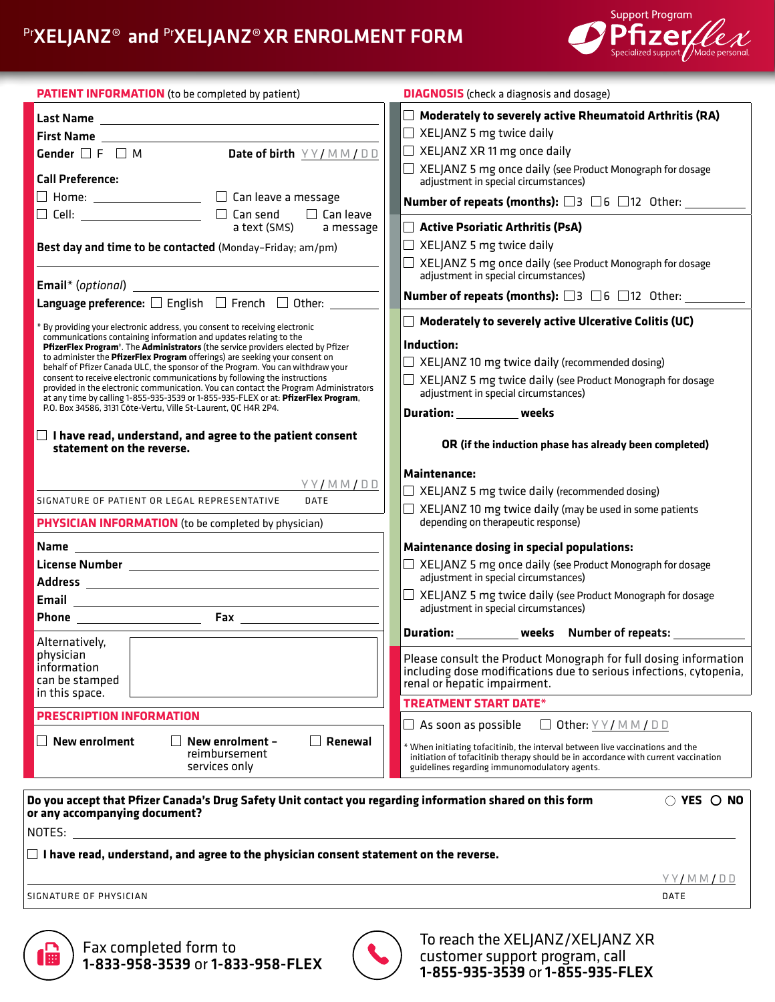# PrXELJANZ® and PrXELJANZ® XR ENROLMENT FORM



| <b>PATIENT INFORMATION</b> (to be completed by patient)                                                                                                                                                                                                  | <b>DIAGNOSIS</b> (check a diagnosis and dosage)                                                                                                                                                                      |
|----------------------------------------------------------------------------------------------------------------------------------------------------------------------------------------------------------------------------------------------------------|----------------------------------------------------------------------------------------------------------------------------------------------------------------------------------------------------------------------|
|                                                                                                                                                                                                                                                          | $\Box$ Moderately to severely active Rheumatoid Arthritis (RA)                                                                                                                                                       |
| First Name                                                                                                                                                                                                                                               | $\Box$ XELJANZ 5 mg twice daily                                                                                                                                                                                      |
| Date of birth $YY/MM/DD$<br>Gender $\square$ F $\square$ M                                                                                                                                                                                               | $\Box$ XELJANZ XR 11 mg once daily                                                                                                                                                                                   |
| <b>Call Preference:</b>                                                                                                                                                                                                                                  | $\Box$ XELJANZ 5 mg once daily (see Product Monograph for dosage<br>adjustment in special circumstances)                                                                                                             |
|                                                                                                                                                                                                                                                          | <b>Number of repeats (months):</b> $\Box$ 3 $\Box$ 6 $\Box$ 12 Other:                                                                                                                                                |
| a text (SMS)<br>a message                                                                                                                                                                                                                                | Active Psoriatic Arthritis (PsA)                                                                                                                                                                                     |
| Best day and time to be contacted (Monday-Friday; am/pm)                                                                                                                                                                                                 | $\Box$ XELJANZ 5 mg twice daily                                                                                                                                                                                      |
|                                                                                                                                                                                                                                                          | □ XELJANZ 5 mg once daily (see Product Monograph for dosage<br>adjustment in special circumstances)                                                                                                                  |
|                                                                                                                                                                                                                                                          | <b>Number of repeats (months):</b> $\Box$ 3 $\Box$ 6 $\Box$ 12 Other:                                                                                                                                                |
| Language preference: $\square$ English $\;\square\;$ French $\;\square\;$ Other:                                                                                                                                                                         |                                                                                                                                                                                                                      |
| * By providing your electronic address, you consent to receiving electronic<br>communications containing information and updates relating to the                                                                                                         | $\Box$ Moderately to severely active Ulcerative Colitis (UC)                                                                                                                                                         |
| PfizerFlex Program <sup>+</sup> . The Administrators (the service providers elected by Pfizer<br>to administer the PfizerFlex Program offerings) are seeking your consent on                                                                             | Induction:                                                                                                                                                                                                           |
| behalf of Pfizer Canada ULC, the sponsor of the Program. You can withdraw your                                                                                                                                                                           | $\Box$ XELJANZ 10 mg twice daily (recommended dosing)                                                                                                                                                                |
| consent to receive electronic communications by following the instructions<br>provided in the electronic communication. You can contact the Program Administrators<br>at any time by calling 1-855-935-3539 or 1-855-935-FLEX or at: PfizerFlex Program, | $\Box$ XELJANZ 5 mg twice daily (see Product Monograph for dosage<br>adjustment in special circumstances)                                                                                                            |
| P.O. Box 34586, 3131 Côte-Vertu, Ville St-Laurent, QC H4R 2P4.                                                                                                                                                                                           | Duration: weeks                                                                                                                                                                                                      |
| $\Box$ I have read, understand, and agree to the patient consent<br>statement on the reverse.                                                                                                                                                            | OR (if the induction phase has already been completed)                                                                                                                                                               |
|                                                                                                                                                                                                                                                          | <b>Maintenance:</b>                                                                                                                                                                                                  |
| YY/MM/DD                                                                                                                                                                                                                                                 | $\Box$ XELJANZ 5 mg twice daily (recommended dosing)                                                                                                                                                                 |
| SIGNATURE OF PATIENT OR LEGAL REPRESENTATIVE<br><b>DATE</b>                                                                                                                                                                                              | $\Box$ XELJANZ 10 mg twice daily (may be used in some patients                                                                                                                                                       |
| <b>PHYSICIAN INFORMATION</b> (to be completed by physician)                                                                                                                                                                                              | depending on therapeutic response)                                                                                                                                                                                   |
|                                                                                                                                                                                                                                                          | <b>Maintenance dosing in special populations:</b>                                                                                                                                                                    |
|                                                                                                                                                                                                                                                          | □ XELJANZ 5 mg once daily (see Product Monograph for dosage<br>adjustment in special circumstances)                                                                                                                  |
|                                                                                                                                                                                                                                                          | $\Box$ XELJANZ 5 mg twice daily (see Product Monograph for dosage                                                                                                                                                    |
|                                                                                                                                                                                                                                                          | adjustment in special circumstances)                                                                                                                                                                                 |
| Alternatively,                                                                                                                                                                                                                                           | Duration: __________ weeks Number of repeats: _______                                                                                                                                                                |
| physician                                                                                                                                                                                                                                                | Please consult the Product Monograph for full dosing information                                                                                                                                                     |
| information<br>can be stamped                                                                                                                                                                                                                            | including dose modifications due to serious infections, cytopenia,                                                                                                                                                   |
| in this space.                                                                                                                                                                                                                                           | renal or hepatic impairment.                                                                                                                                                                                         |
| <b>PRESCRIPTION INFORMATION</b>                                                                                                                                                                                                                          | <b>TREATMENT START DATE*</b>                                                                                                                                                                                         |
|                                                                                                                                                                                                                                                          | $\Box$ As soon as possible<br>Other: $Y$ $Y$ / $M$ $M$ $D$ $D$                                                                                                                                                       |
| New enrolment<br>New enrolment -<br>Renewal<br>reimbursement<br>services only                                                                                                                                                                            | * When initiating tofacitinib, the interval between live vaccinations and the<br>initiation of tofacitinib therapy should be in accordance with current vaccination<br>guidelines regarding immunomodulatory agents. |
| Do you accept that Pfizer Canada's Drug Safety Unit contact you regarding information shared on this form                                                                                                                                                | $\circ$ yes $\circ$ no                                                                                                                                                                                               |
| or any accompanying document?                                                                                                                                                                                                                            |                                                                                                                                                                                                                      |
| NOTES:                                                                                                                                                                                                                                                   |                                                                                                                                                                                                                      |

**I have read, understand, and agree to the physician consent statement on the reverse.**

SIGNATURE OF PHYSICIAN DATE

Y Y/ M M / D D



Fax completed form to 1-833-958-3539 or 1-833-958-FLEX



To reach the XELJANZ/XELJANZ XR customer support program, call 1-855-935-3539 or 1-855-935-FLEX